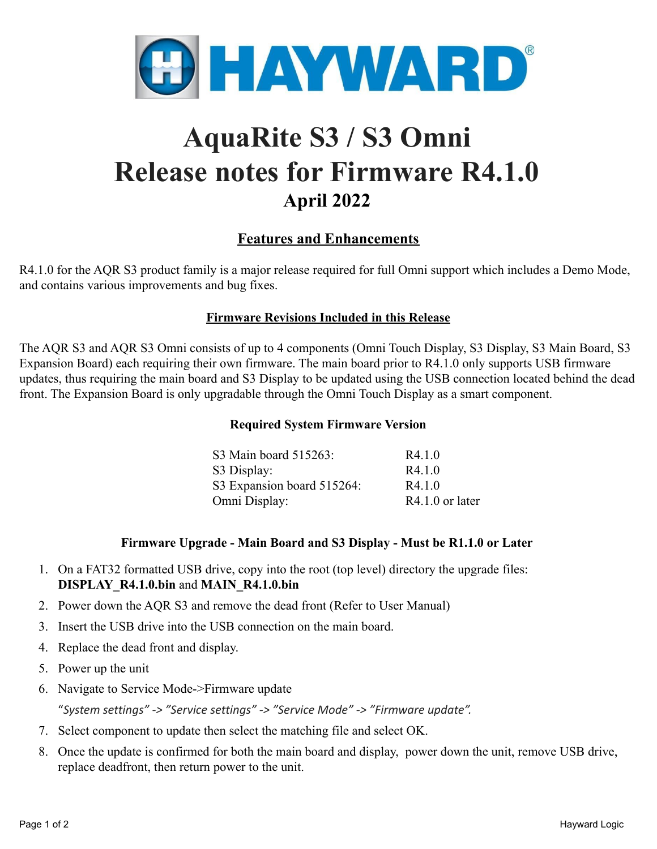

# **AquaRite S3 / S3 Omni Release notes for Firmware R4.1.0 April 2022**

## **Features and Enhancements**

R4.1.0 for the AQR S3 product family is a major release required for full Omni support which includes a Demo Mode, and contains various improvements and bug fixes.

#### **Firmware Revisions Included in this Release**

The AQR S3 and AQR S3 Omni consists of up to 4 components (Omni Touch Display, S3 Display, S3 Main Board, S3 Expansion Board) each requiring their own firmware. The main board prior to R4.1.0 only supports USB firmware updates, thus requiring the main board and S3 Display to be updated using the USB connection located behind the dead front. The Expansion Board is only upgradable through the Omni Touch Display as a smart component.

#### **Required System Firmware Version**

| S3 Main board 515263:      | R4.1.0            |
|----------------------------|-------------------|
| S3 Display:                | R4.1.0            |
| S3 Expansion board 515264: | R4.1.0            |
| Omni Display:              | $R4.1.0$ or later |

#### **Firmware Upgrade - Main Board and S3 Display - Must be R1.1.0 or Later**

- 1. On a FAT32 formatted USB drive, copy into the root (top level) directory the upgrade files: **DISPLAY\_R4.1.0.bin** and **MAIN\_R4.1.0.bin**
- 2. Power down the AQR S3 and remove the dead front (Refer to User Manual)
- 3. Insert the USB drive into the USB connection on the main board.
- 4. Replace the dead front and display.
- 5. Power up the unit
- 6. Navigate to Service Mode->Firmware update

"*System settings" -> "Service settings" -> "Service Mode" -> "Firmware update".*

- 7. Select component to update then select the matching file and select OK.
- 8. Once the update is confirmed for both the main board and display, power down the unit, remove USB drive, replace deadfront, then return power to the unit.